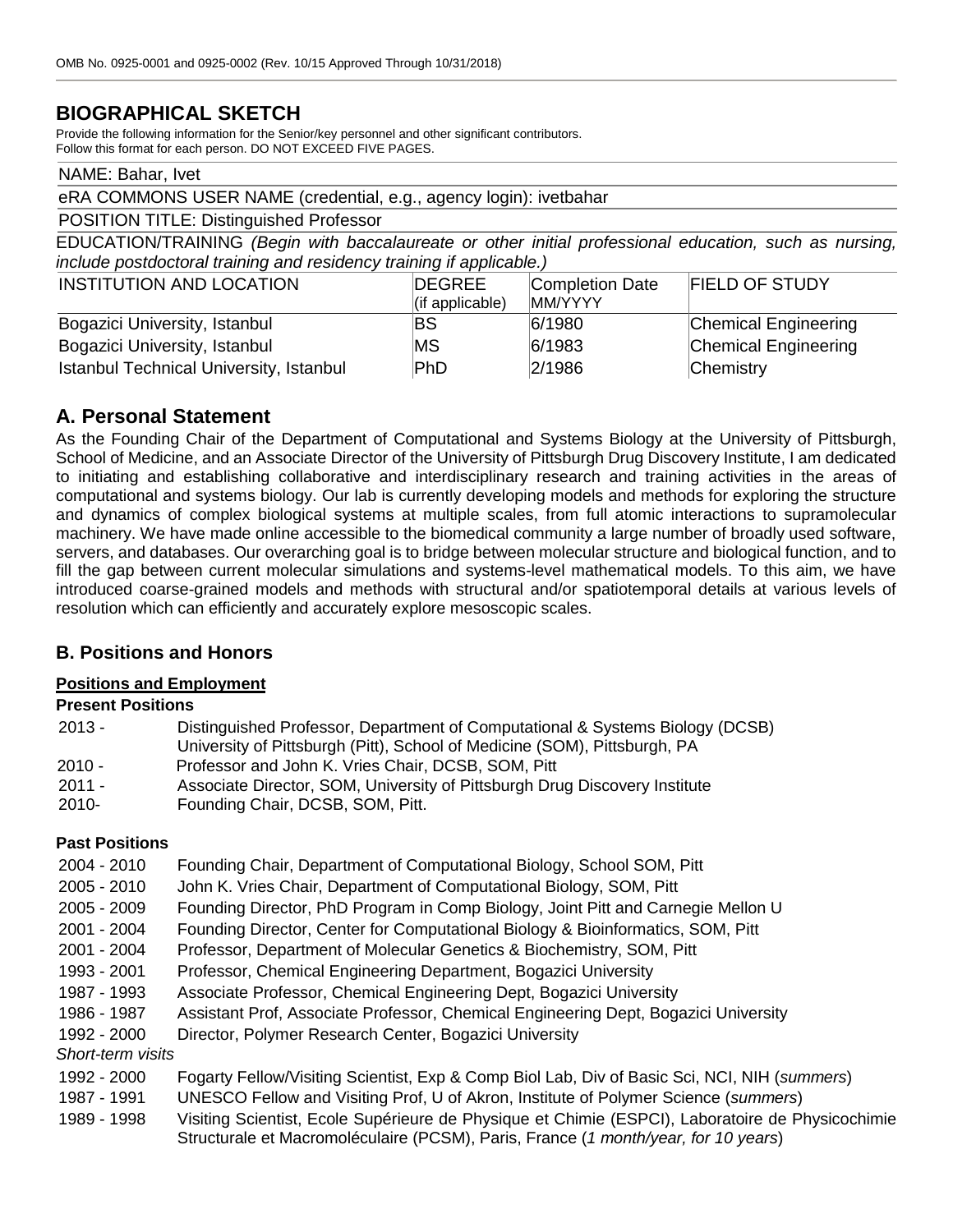# **BIOGRAPHICAL SKETCH**

Provide the following information for the Senior/key personnel and other significant contributors. Follow this format for each person. DO NOT EXCEED FIVE PAGES.

#### NAME: Bahar, Ivet

#### eRA COMMONS USER NAME (credential, e.g., agency login): ivetbahar

#### POSITION TITLE: Distinguished Professor

EDUCATION/TRAINING *(Begin with baccalaureate or other initial professional education, such as nursing, include postdoctoral training and residency training if applicable.)*

| <b>INSTITUTION AND LOCATION</b>         | <b>DEGREE</b><br>$\vert$ (if applicable) | Completion Date<br><b>MM/YYYY</b> | <b>FIELD OF STUDY</b>       |
|-----------------------------------------|------------------------------------------|-----------------------------------|-----------------------------|
| Bogazici University, Istanbul           | ΒS                                       | 6/1980                            | Chemical Engineering        |
| Bogazici University, Istanbul           | <b>MS</b>                                | 6/1983                            | <b>Chemical Engineering</b> |
| Istanbul Technical University, Istanbul | PhD                                      | 2/1986                            | Chemistry                   |

## **A. Personal Statement**

As the Founding Chair of the Department of Computational and Systems Biology at the University of Pittsburgh, School of Medicine, and an Associate Director of the University of Pittsburgh Drug Discovery Institute, I am dedicated to initiating and establishing collaborative and interdisciplinary research and training activities in the areas of computational and systems biology. Our lab is currently developing models and methods for exploring the structure and dynamics of complex biological systems at multiple scales, from full atomic interactions to supramolecular machinery. We have made online accessible to the biomedical community a large number of broadly used software, servers, and databases. Our overarching goal is to bridge between molecular structure and biological function, and to fill the gap between current molecular simulations and systems-level mathematical models. To this aim, we have introduced coarse-grained models and methods with structural and/or spatiotemporal details at various levels of resolution which can efficiently and accurately explore mesoscopic scales.

## **B. Positions and Honors**

#### **Positions and Employment**

### **Present Positions**

| 2013 - | Distinguished Professor, Department of Computational & Systems Biology (DCSB)<br>University of Pittsburgh (Pitt), School of Medicine (SOM), Pittsburgh, PA |
|--------|------------------------------------------------------------------------------------------------------------------------------------------------------------|
| 2010 - | Professor and John K. Vries Chair, DCSB, SOM, Pitt                                                                                                         |
| 2011 - | Associate Director, SOM, University of Pittsburgh Drug Discovery Institute                                                                                 |
| 2010-  | Founding Chair, DCSB, SOM, Pitt.                                                                                                                           |

### **Past Positions**

- 2004 2010 Founding Chair, Department of Computational Biology, School SOM, Pitt
- 2005 2010 John K. Vries Chair, Department of Computational Biology, SOM, Pitt
- 2005 2009 Founding Director, PhD Program in Comp Biology, Joint Pitt and Carnegie Mellon U
- 2001 2004 Founding Director, Center for Computational Biology & Bioinformatics, SOM, Pitt
- 2001 2004 Professor, Department of Molecular Genetics & Biochemistry, SOM, Pitt
- 1993 2001 Professor, Chemical Engineering Department, Bogazici University
- 1987 1993 Associate Professor, Chemical Engineering Dept, Bogazici University
- 1986 1987 Assistant Prof, Associate Professor, Chemical Engineering Dept, Bogazici University
- 1992 2000 Director, Polymer Research Center, Bogazici University

*Short-term visits*

- 1992 2000 Fogarty Fellow/Visiting Scientist, Exp & Comp Biol Lab, Div of Basic Sci, NCI, NIH (*summers*)
- 1987 1991 UNESCO Fellow and Visiting Prof, U of Akron, Institute of Polymer Science (*summers*)
- 1989 1998 Visiting Scientist, Ecole Supérieure de Physique et Chimie (ESPCI), Laboratoire de Physicochimie Structurale et Macromoléculaire (PCSM), Paris, France (*1 month/year, for 10 years*)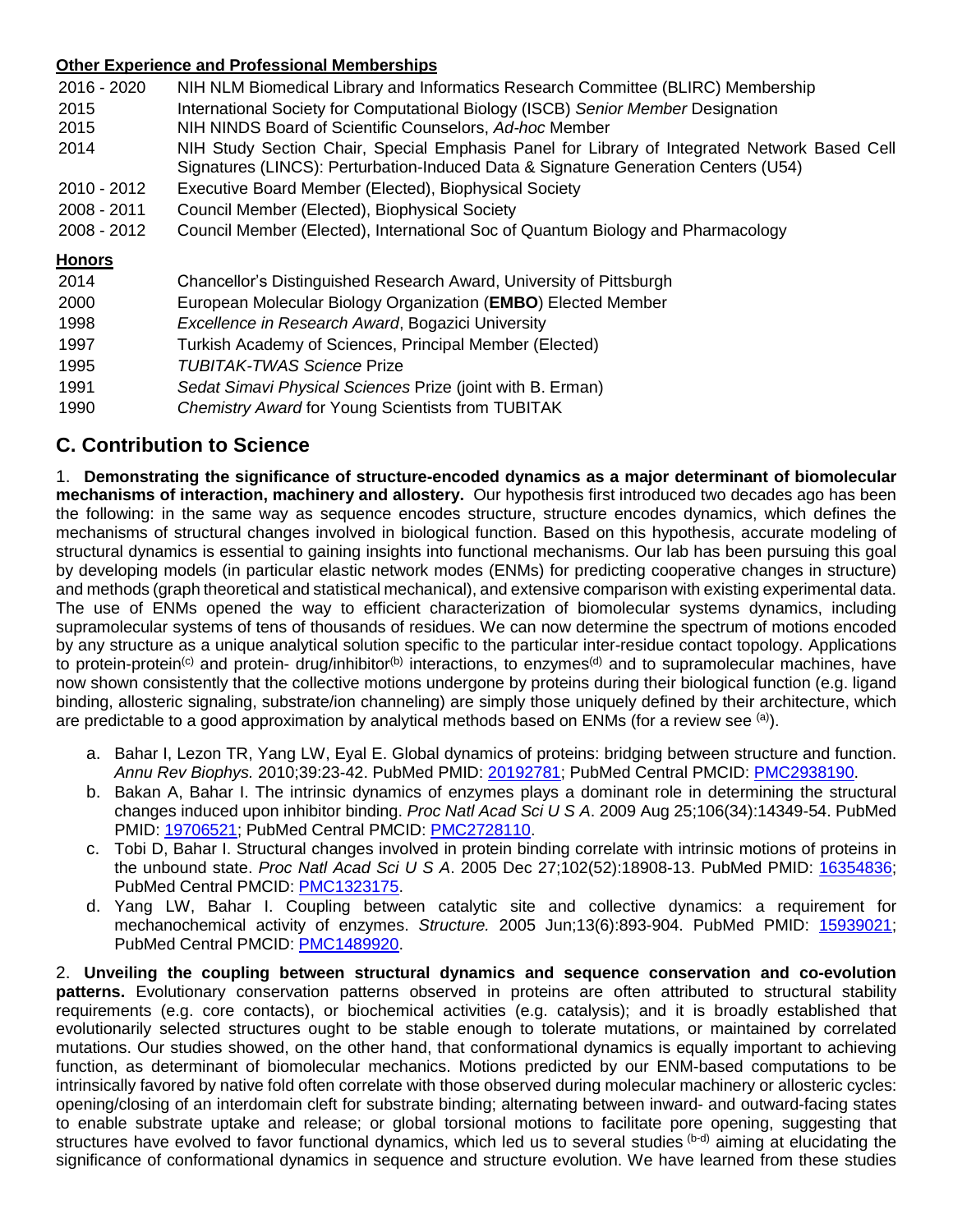#### **Other Experience and Professional Memberships**

| 2016 - 2020   | NIH NLM Biomedical Library and Informatics Research Committee (BLIRC) Membership                                                                                                   |
|---------------|------------------------------------------------------------------------------------------------------------------------------------------------------------------------------------|
| 2015          | International Society for Computational Biology (ISCB) Senior Member Designation                                                                                                   |
| 2015          | NIH NINDS Board of Scientific Counselors, Ad-hoc Member                                                                                                                            |
| 2014          | NIH Study Section Chair, Special Emphasis Panel for Library of Integrated Network Based Cell<br>Signatures (LINCS): Perturbation-Induced Data & Signature Generation Centers (U54) |
| 2010 - 2012   | Executive Board Member (Elected), Biophysical Society                                                                                                                              |
| 2008 - 2011   | Council Member (Elected), Biophysical Society                                                                                                                                      |
| 2008 - 2012   | Council Member (Elected), International Soc of Quantum Biology and Pharmacology                                                                                                    |
| <b>Honors</b> |                                                                                                                                                                                    |
| 2014          | Chancellor's Distinguished Research Award, University of Pittsburgh                                                                                                                |
| 2000          | European Molecular Biology Organization (EMBO) Elected Member                                                                                                                      |
| 1998          | Excellence in Research Award, Bogazici University                                                                                                                                  |
| 1997          | Turkish Academy of Sciences, Principal Member (Elected)                                                                                                                            |
| 1995          | <b>TUBITAK-TWAS Science Prize</b>                                                                                                                                                  |
| 1991          | Sedat Simavi Physical Sciences Prize (joint with B. Erman)                                                                                                                         |
| 1990          | <b>Chemistry Award for Young Scientists from TUBITAK</b>                                                                                                                           |

# **C. Contribution to Science**

1. **Demonstrating the significance of structure-encoded dynamics as a major determinant of biomolecular mechanisms of interaction, machinery and allostery.** Our hypothesis first introduced two decades ago has been the following: in the same way as sequence encodes structure, structure encodes dynamics, which defines the mechanisms of structural changes involved in biological function. Based on this hypothesis, accurate modeling of structural dynamics is essential to gaining insights into functional mechanisms. Our lab has been pursuing this goal by developing models (in particular elastic network modes (ENMs) for predicting cooperative changes in structure) and methods (graph theoretical and statistical mechanical), and extensive comparison with existing experimental data. The use of ENMs opened the way to efficient characterization of biomolecular systems dynamics, including supramolecular systems of tens of thousands of residues. We can now determine the spectrum of motions encoded by any structure as a unique analytical solution specific to the particular inter-residue contact topology. Applications to protein-protein<sup>(c)</sup> and protein- drug/inhibitor<sup>(b)</sup> interactions, to enzymes<sup>(d)</sup> and to supramolecular machines, have now shown consistently that the collective motions undergone by proteins during their biological function (e.g. ligand binding, allosteric signaling, substrate/ion channeling) are simply those uniquely defined by their architecture, which are predictable to a good approximation by analytical methods based on ENMs (for a review see (a)).

- a. Bahar I, Lezon TR, Yang LW, Eyal E. Global dynamics of proteins: bridging between structure and function. *Annu Rev Biophys.* 2010;39:23-42. PubMed PMID: [20192781;](http://www.ncbi.nlm.nih.gov/pubmed/20192781/) PubMed Central PMCID: [PMC2938190.](http://www.ncbi.nlm.nih.gov/pmc/articles/PMC2938190/)
- b. Bakan A, Bahar I. The intrinsic dynamics of enzymes plays a dominant role in determining the structural changes induced upon inhibitor binding. *Proc Natl Acad Sci U S A*. 2009 Aug 25;106(34):14349-54. PubMed PMID: [19706521;](http://www.ncbi.nlm.nih.gov/pubmed/19706521/) PubMed Central PMCID: [PMC2728110.](http://www.ncbi.nlm.nih.gov/pmc/articles/PMC2728110/)
- c. Tobi D, Bahar I. Structural changes involved in protein binding correlate with intrinsic motions of proteins in the unbound state. *Proc Natl Acad Sci U S A*. 2005 Dec 27;102(52):18908-13. PubMed PMID: [16354836;](http://www.ncbi.nlm.nih.gov/pubmed/16354836/) PubMed Central PMCID: [PMC1323175.](http://www.ncbi.nlm.nih.gov/pmc/articles/PMC1323175/)
- d. Yang LW, Bahar I. Coupling between catalytic site and collective dynamics: a requirement for mechanochemical activity of enzymes. *Structure.* 2005 Jun;13(6):893-904. PubMed PMID: [15939021;](http://www.ncbi.nlm.nih.gov/pubmed/15939021/) PubMed Central PMCID: [PMC1489920.](http://www.ncbi.nlm.nih.gov/pmc/articles/PMC1489920/)

2. **Unveiling the coupling between structural dynamics and sequence conservation and co-evolution patterns.** Evolutionary conservation patterns observed in proteins are often attributed to structural stability requirements (e.g. core contacts), or biochemical activities (e.g. catalysis); and it is broadly established that evolutionarily selected structures ought to be stable enough to tolerate mutations, or maintained by correlated mutations. Our studies showed, on the other hand, that conformational dynamics is equally important to achieving function, as determinant of biomolecular mechanics. Motions predicted by our ENM-based computations to be intrinsically favored by native fold often correlate with those observed during molecular machinery or allosteric cycles: opening/closing of an interdomain cleft for substrate binding; alternating between inward- and outward-facing states to enable substrate uptake and release; or global torsional motions to facilitate pore opening, suggesting that structures have evolved to favor functional dynamics, which led us to several studies (b-d) aiming at elucidating the significance of conformational dynamics in sequence and structure evolution. We have learned from these studies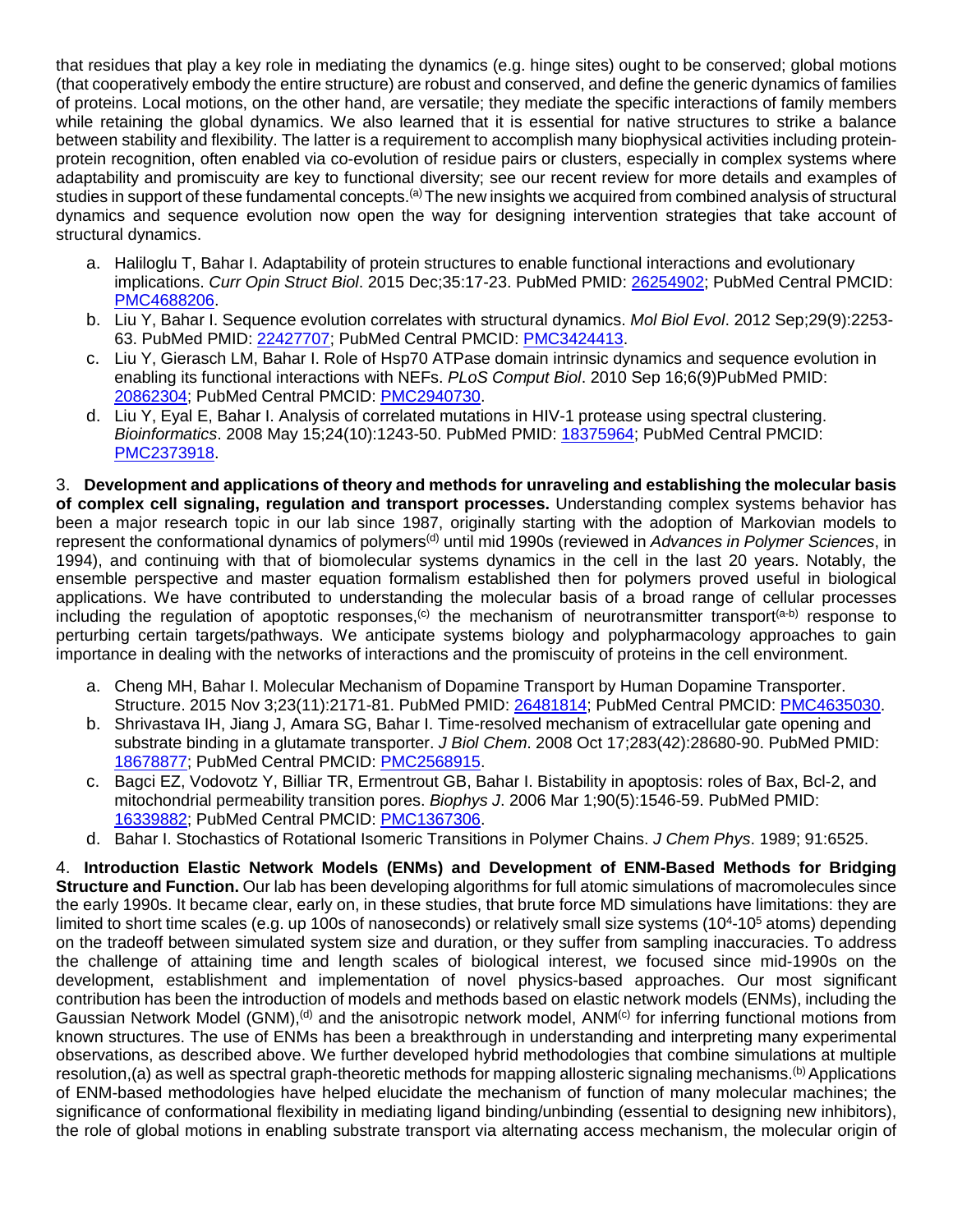that residues that play a key role in mediating the dynamics (e.g. hinge sites) ought to be conserved; global motions (that cooperatively embody the entire structure) are robust and conserved, and define the generic dynamics of families of proteins. Local motions, on the other hand, are versatile; they mediate the specific interactions of family members while retaining the global dynamics. We also learned that it is essential for native structures to strike a balance between stability and flexibility. The latter is a requirement to accomplish many biophysical activities including proteinprotein recognition, often enabled via co-evolution of residue pairs or clusters, especially in complex systems where adaptability and promiscuity are key to functional diversity; see our recent review for more details and examples of studies in support of these fundamental concepts.<sup>(a)</sup> The new insights we acquired from combined analysis of structural dynamics and sequence evolution now open the way for designing intervention strategies that take account of structural dynamics.

- a. Haliloglu T, Bahar I. Adaptability of protein structures to enable functional interactions and evolutionary implications. *Curr Opin Struct Biol*. 2015 Dec;35:17-23. PubMed PMID: [26254902;](http://www.ncbi.nlm.nih.gov/pubmed/26254902/) PubMed Central PMCID: [PMC4688206.](http://www.ncbi.nlm.nih.gov/pmc/articles/PMC4688206/)
- b. Liu Y, Bahar I. Sequence evolution correlates with structural dynamics. *Mol Biol Evol*. 2012 Sep;29(9):2253- 63. PubMed PMID: [22427707;](http://www.ncbi.nlm.nih.gov/pubmed/22427707/) PubMed Central PMCID: [PMC3424413.](http://www.ncbi.nlm.nih.gov/pmc/articles/PMC3424413/)
- c. Liu Y, Gierasch LM, Bahar I. Role of Hsp70 ATPase domain intrinsic dynamics and sequence evolution in enabling its functional interactions with NEFs. *PLoS Comput Biol*. 2010 Sep 16;6(9)PubMed PMID: [20862304;](http://www.ncbi.nlm.nih.gov/pubmed/20862304/) PubMed Central PMCID: [PMC2940730.](http://www.ncbi.nlm.nih.gov/pmc/articles/PMC2940730/)
- d. Liu Y, Eyal E, Bahar I. Analysis of correlated mutations in HIV-1 protease using spectral clustering. *Bioinformatics*. 2008 May 15;24(10):1243-50. PubMed PMID: [18375964;](http://www.ncbi.nlm.nih.gov/pubmed/18375964/) PubMed Central PMCID: [PMC2373918.](http://www.ncbi.nlm.nih.gov/pmc/articles/PMC2373918/)

3. **Development and applications of theory and methods for unraveling and establishing the molecular basis of complex cell signaling, regulation and transport processes.** Understanding complex systems behavior has been a major research topic in our lab since 1987, originally starting with the adoption of Markovian models to represent the conformational dynamics of polymers(d) until mid 1990s (reviewed in *Advances in Polymer Sciences*, in 1994), and continuing with that of biomolecular systems dynamics in the cell in the last 20 years. Notably, the ensemble perspective and master equation formalism established then for polymers proved useful in biological applications. We have contributed to understanding the molecular basis of a broad range of cellular processes including the regulation of apoptotic responses,<sup>(c)</sup> the mechanism of neurotransmitter transport<sup>(a-b)</sup> response to perturbing certain targets/pathways. We anticipate systems biology and polypharmacology approaches to gain importance in dealing with the networks of interactions and the promiscuity of proteins in the cell environment.

- a. Cheng MH, Bahar I. Molecular Mechanism of Dopamine Transport by Human Dopamine Transporter. Structure. 2015 Nov 3;23(11):2171-81. PubMed PMID: [26481814;](http://www.ncbi.nlm.nih.gov/pubmed/26481814/) PubMed Central PMCID: [PMC4635030.](http://www.ncbi.nlm.nih.gov/pmc/articles/PMC4635030/)
- b. Shrivastava IH, Jiang J, Amara SG, Bahar I. Time-resolved mechanism of extracellular gate opening and substrate binding in a glutamate transporter. *J Biol Chem*. 2008 Oct 17;283(42):28680-90. PubMed PMID: [18678877;](http://www.ncbi.nlm.nih.gov/pubmed/18678877/) PubMed Central PMCID: [PMC2568915.](http://www.ncbi.nlm.nih.gov/pmc/articles/PMC2568915/)
- c. Bagci EZ, Vodovotz Y, Billiar TR, Ermentrout GB, Bahar I. Bistability in apoptosis: roles of Bax, Bcl-2, and mitochondrial permeability transition pores. *Biophys J*. 2006 Mar 1;90(5):1546-59. PubMed PMID: [16339882;](http://www.ncbi.nlm.nih.gov/pubmed/16339882/) PubMed Central PMCID: [PMC1367306.](http://www.ncbi.nlm.nih.gov/pmc/articles/PMC1367306/)
- d. Bahar I. Stochastics of Rotational Isomeric Transitions in Polymer Chains. *J Chem Phys*. 1989; 91:6525.

4. **Introduction Elastic Network Models (ENMs) and Development of ENM-Based Methods for Bridging Structure and Function.** Our lab has been developing algorithms for full atomic simulations of macromolecules since the early 1990s. It became clear, early on, in these studies, that brute force MD simulations have limitations: they are limited to short time scales (e.g. up 100s of nanoseconds) or relatively small size systems (10<sup>4</sup>-10<sup>5</sup> atoms) depending on the tradeoff between simulated system size and duration, or they suffer from sampling inaccuracies. To address the challenge of attaining time and length scales of biological interest, we focused since mid-1990s on the development, establishment and implementation of novel physics-based approaches. Our most significant contribution has been the introduction of models and methods based on elastic network models (ENMs), including the Gaussian Network Model (GNM),<sup>(d)</sup> and the anisotropic network model, ANM<sup>(c)</sup> for inferring functional motions from known structures. The use of ENMs has been a breakthrough in understanding and interpreting many experimental observations, as described above. We further developed hybrid methodologies that combine simulations at multiple resolution,(a) as well as spectral graph-theoretic methods for mapping allosteric signaling mechanisms.<sup>(b)</sup> Applications of ENM-based methodologies have helped elucidate the mechanism of function of many molecular machines; the significance of conformational flexibility in mediating ligand binding/unbinding (essential to designing new inhibitors), the role of global motions in enabling substrate transport via alternating access mechanism, the molecular origin of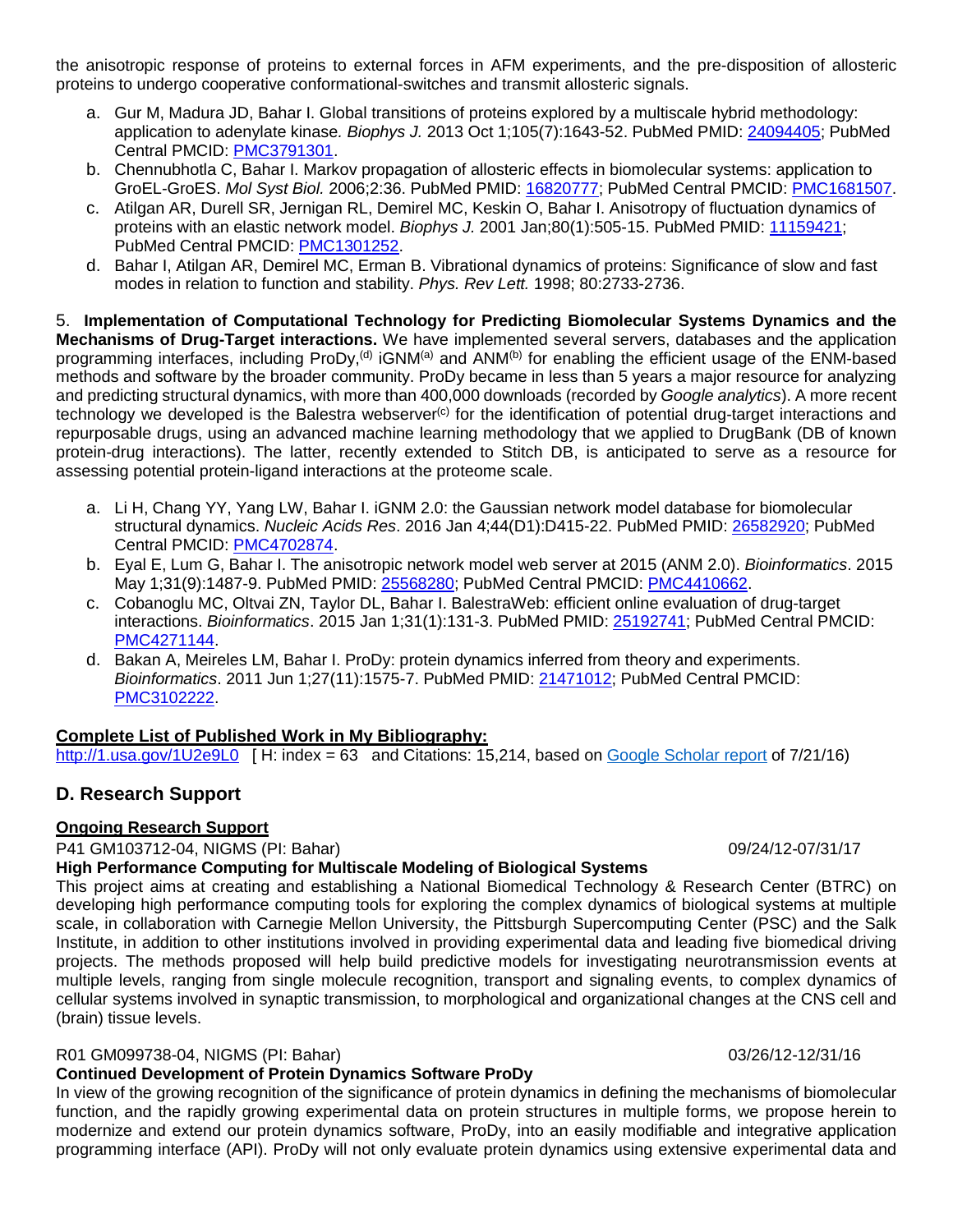the anisotropic response of proteins to external forces in AFM experiments, and the pre-disposition of allosteric proteins to undergo cooperative conformational-switches and transmit allosteric signals.

- a. Gur M, Madura JD, Bahar I. Global transitions of proteins explored by a multiscale hybrid methodology: application to adenylate kinase*. Biophys J.* 2013 Oct 1;105(7):1643-52. PubMed PMID: [24094405;](http://www.ncbi.nlm.nih.gov/pubmed/24094405/) PubMed Central PMCID: [PMC3791301.](http://www.ncbi.nlm.nih.gov/pmc/articles/PMC3791301/)
- b. Chennubhotla C, Bahar I. Markov propagation of allosteric effects in biomolecular systems: application to GroEL-GroES. *Mol Syst Biol.* 2006;2:36. PubMed PMID: [16820777;](http://www.ncbi.nlm.nih.gov/pubmed/16820777/) PubMed Central PMCID: [PMC1681507.](http://www.ncbi.nlm.nih.gov/pmc/articles/PMC1681507/)
- c. Atilgan AR, Durell SR, Jernigan RL, Demirel MC, Keskin O, Bahar I. Anisotropy of fluctuation dynamics of proteins with an elastic network model. *Biophys J.* 2001 Jan;80(1):505-15. PubMed PMID: [11159421;](http://www.ncbi.nlm.nih.gov/pubmed/11159421/) PubMed Central PMCID: [PMC1301252.](http://www.ncbi.nlm.nih.gov/pmc/articles/PMC1301252/)
- d. Bahar I, Atilgan AR, Demirel MC, Erman B. Vibrational dynamics of proteins: Significance of slow and fast modes in relation to function and stability. *Phys. Rev Lett.* 1998; 80:2733-2736.

5. **Implementation of Computational Technology for Predicting Biomolecular Systems Dynamics and the Mechanisms of Drug-Target interactions.** We have implemented several servers, databases and the application programming interfaces, including ProDy,<sup>(d)</sup> iGNM<sup>(a)</sup> and ANM<sup>(b)</sup> for enabling the efficient usage of the ENM-based methods and software by the broader community. ProDy became in less than 5 years a major resource for analyzing and predicting structural dynamics, with more than 400,000 downloads (recorded by *Google analytics*). A more recent technology we developed is the Balestra webserver<sup>(c)</sup> for the identification of potential drug-target interactions and repurposable drugs, using an advanced machine learning methodology that we applied to DrugBank (DB of known protein-drug interactions). The latter, recently extended to Stitch DB, is anticipated to serve as a resource for assessing potential protein-ligand interactions at the proteome scale.

- a. Li H, Chang YY, Yang LW, Bahar I. iGNM 2.0: the Gaussian network model database for biomolecular structural dynamics. *Nucleic Acids Res*. 2016 Jan 4;44(D1):D415-22. PubMed PMID: [26582920;](http://www.ncbi.nlm.nih.gov/pubmed/26582920/) PubMed Central PMCID: [PMC4702874.](http://www.ncbi.nlm.nih.gov/pmc/articles/PMC4702874/)
- b. Eyal E, Lum G, Bahar I. The anisotropic network model web server at 2015 (ANM 2.0). *Bioinformatics*. 2015 May 1;31(9):1487-9. PubMed PMID: [25568280;](http://www.ncbi.nlm.nih.gov/pubmed/25568280/) PubMed Central PMCID: [PMC4410662.](http://www.ncbi.nlm.nih.gov/pmc/articles/PMC4410662/)
- c. Cobanoglu MC, Oltvai ZN, Taylor DL, Bahar I. BalestraWeb: efficient online evaluation of drug-target interactions. *Bioinformatics*. 2015 Jan 1;31(1):131-3. PubMed PMID: [25192741;](http://www.ncbi.nlm.nih.gov/pubmed/25192741/) PubMed Central PMCID: [PMC4271144.](http://www.ncbi.nlm.nih.gov/pmc/articles/PMC4271144/)
- d. Bakan A, Meireles LM, Bahar I. ProDy: protein dynamics inferred from theory and experiments. *Bioinformatics*. 2011 Jun 1;27(11):1575-7. PubMed PMID: [21471012;](http://www.ncbi.nlm.nih.gov/pubmed/21471012/) PubMed Central PMCID: [PMC3102222.](http://www.ncbi.nlm.nih.gov/pmc/articles/PMC3102222/)

### **Complete List of Published Work in My Bibliography:**

<http://1.usa.gov/1U2e9L0>[H: index = 63 and Citations: 15,214, based on Google [Scholar](https://scholar.google.com/citations?user=jXWewPgAAAAJ&hl=en&oi=ao) report of 7/21/16)

## **D. Research Support**

#### **Ongoing Research Support**

P41 GM103712-04, NIGMS (PI: Bahar) 09/24/12-07/31/17

#### **High Performance Computing for Multiscale Modeling of Biological Systems**

This project aims at creating and establishing a National Biomedical Technology & Research Center (BTRC) on developing high performance computing tools for exploring the complex dynamics of biological systems at multiple scale, in collaboration with Carnegie Mellon University, the Pittsburgh Supercomputing Center (PSC) and the Salk Institute, in addition to other institutions involved in providing experimental data and leading five biomedical driving projects. The methods proposed will help build predictive models for investigating neurotransmission events at multiple levels, ranging from single molecule recognition, transport and signaling events, to complex dynamics of cellular systems involved in synaptic transmission, to morphological and organizational changes at the CNS cell and (brain) tissue levels.

#### R01 GM099738-04, NIGMS (PI: Bahar) 03/26/12-12/31/16

#### **Continued Development of Protein Dynamics Software ProDy**

In view of the growing recognition of the significance of protein dynamics in defining the mechanisms of biomolecular function, and the rapidly growing experimental data on protein structures in multiple forms, we propose herein to modernize and extend our protein dynamics software, ProDy, into an easily modifiable and integrative application programming interface (API). ProDy will not only evaluate protein dynamics using extensive experimental data and